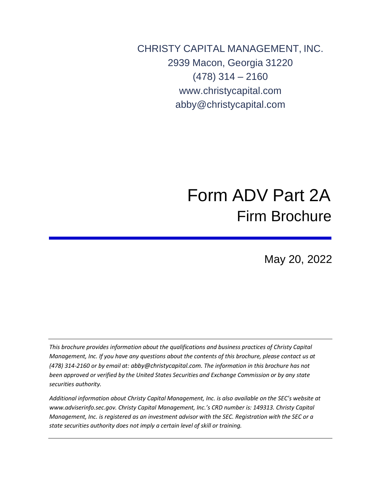CHRISTY CAPITAL MANAGEMENT, INC. 2939 Macon, Georgia 31220 (478) 314 – 216[0](http://www.christycapital.com/) [www.christycapital.com](http://www.christycapital.com/) [abby@christycapital.com](mailto:abby@christycapital.com)

# Form ADV Part 2A Firm Brochure

May 20, 2022

*This brochure provides information about the qualifications and business practices of Christy Capital Management, Inc. If you have any questions about the contents of this brochure, please contact us at (478) 314-2160 or by email at: [abby@christycapital.com](mailto:abby@christycapital.com)*. *The information in this brochure has not been approved or verified by the United States Securities and Exchange Commission or by any state securities authority.*

*Additional information about Christy Capital Management, Inc. is also available on the SEC's website at [www.adviserinfo.sec.gov.](http://www.adviserinfo.sec.gov/) Christy Capital Management, Inc.'s CRD number is: 149313. Christy Capital Management, Inc. is registered as an investment advisor with the SEC. Registration with the SEC or a state securities authority does not imply a certain level of skill or training.*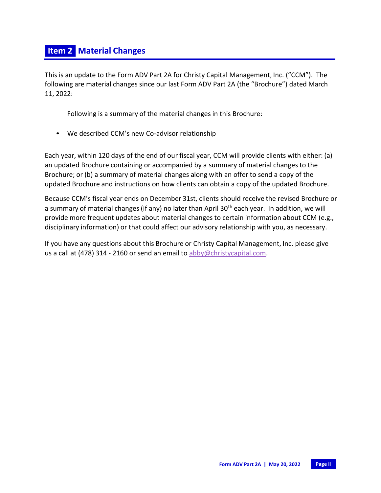This is an update to the Form ADV Part 2A for Christy Capital Management, Inc. ("CCM"). The following are material changes since our last Form ADV Part 2A (the "Brochure") dated March 11, 2022:

Following is a summary of the material changes in this Brochure:

• We described CCM's new Co-advisor relationship

Each year, within 120 days of the end of our fiscal year, CCM will provide clients with either: (a) an updated Brochure containing or accompanied by a summary of material changes to the Brochure; or (b) a summary of material changes along with an offer to send a copy of the updated Brochure and instructions on how clients can obtain a copy of the updated Brochure.

Because CCM's fiscal year ends on December 31st, clients should receive the revised Brochure or a summary of material changes (if any) no later than April 30<sup>th</sup> each year. In addition, we will provide more frequent updates about material changes to certain information about CCM (e.g., disciplinary information) or that could affect our advisory relationship with you, as necessary.

If you have any questions about this Brochure or Christy Capital Management, Inc. please give us a call at (478) 314 - 2160 or send an email to [abby@christycapital.com.](mailto:abby@christycapital.com)

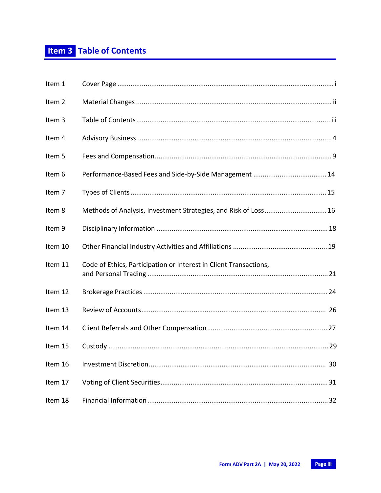| Item 1  |                                                                   |
|---------|-------------------------------------------------------------------|
| Item 2  |                                                                   |
| Item 3  |                                                                   |
| Item 4  |                                                                   |
| Item 5  |                                                                   |
| Item 6  |                                                                   |
| Item 7  |                                                                   |
| Item 8  | Methods of Analysis, Investment Strategies, and Risk of Loss 16   |
| Item 9  |                                                                   |
| Item 10 |                                                                   |
| Item 11 | Code of Ethics, Participation or Interest in Client Transactions, |
| Item 12 |                                                                   |
| Item 13 |                                                                   |
| Item 14 |                                                                   |
| Item 15 |                                                                   |
| Item 16 |                                                                   |
| Item 17 |                                                                   |
| Item 18 |                                                                   |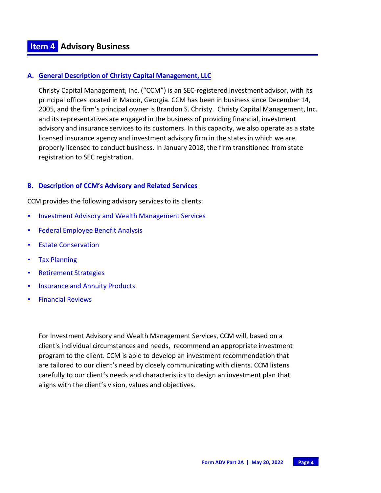#### **A. General Description of Christy Capital Management, LLC**

Christy Capital Management, Inc. ("CCM") is an SEC-registered investment advisor, with its principal offices located in Macon, Georgia. CCM has been in business since December 14, 2005, and the firm's principal owner is Brandon S. Christy. Christy Capital Management, Inc. and its representatives are engaged in the business of providing financial, investment advisory and insurance services to its customers. In this capacity, we also operate as a state licensed insurance agency and investment advisory firm in the states in which we are properly licensed to conduct business. In January 2018, the firm transitioned from state registration to SEC registration.

#### **B. Description of CCM's Advisory and Related Services**

CCM provides the following advisory services to its clients:

- **.** Investment Advisory and Wealth Management Services
- **EXECTE:** Federal Employee Benefit Analysis
- **Example Conservation**
- Tax Planning
- **EXECUTE:** Retirement Strategies
- **.** Insurance and Annuity Products
- **Exercial Reviews**

For Investment Advisory and Wealth Management Services, CCM will, based on a client's individual circumstances and needs, recommend an appropriate investment program to the client. CCM is able to develop an investment recommendation that are tailored to our client's need by closely communicating with clients. CCM listens carefully to our client's needs and characteristics to design an investment plan that aligns with the client's vision, values and objectives.

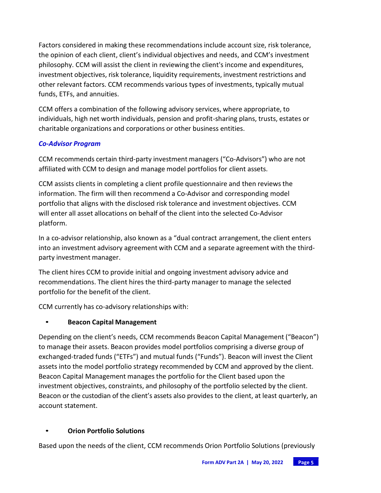Factors considered in making these recommendationsinclude account size, risk tolerance, the opinion of each client, client's individual objectives and needs, and CCM's investment philosophy. CCM will assist the client in reviewing the client's income and expenditures, investment objectives, risk tolerance, liquidity requirements, investment restrictions and other relevant factors. CCM recommends various types of investments, typically mutual funds, ETFs, and annuities.

CCM offers a combination of the following advisory services, where appropriate, to individuals, high net worth individuals, pension and profit-sharing plans, trusts, estates or charitable organizations and corporations or other business entities.

## *Co-Advisor Program*

CCM recommends certain third-party investment managers ("Co-Advisors") who are not affiliated with CCM to design and manage model portfolios for client assets.

CCM assists clients in completing a client profile questionnaire and then reviews the information. The firm will then recommend a Co-Advisor and corresponding model portfolio that aligns with the disclosed risk tolerance and investment objectives. CCM will enter all asset allocations on behalf of the client into the selected Co-Advisor platform.

In a co-advisor relationship, also known as a "dual contract arrangement, the client enters into an investment advisory agreement with CCM and a separate agreement with the thirdparty investment manager.

The client hires CCM to provide initial and ongoing investment advisory advice and recommendations. The client hires the third-party manager to manage the selected portfolio for the benefit of the client.

CCM currently has co-advisory relationships with:

## • **Beacon Capital Management**

Depending on the client's needs, CCM recommends Beacon Capital Management ("Beacon") to manage their assets. Beacon provides model portfolios comprising a diverse group of exchanged-traded funds ("ETFs") and mutual funds ("Funds"). Beacon will invest the Client assets into the model portfolio strategy recommended by CCM and approved by the client. Beacon Capital Management manages the portfolio for the Client based upon the investment objectives, constraints, and philosophy of the portfolio selected by the client. Beacon or the custodian of the client's assets also provides to the client, at least quarterly, an account statement.

## • **Orion Portfolio Solutions**

Based upon the needs of the client, CCM recommends Orion Portfolio Solutions (previously

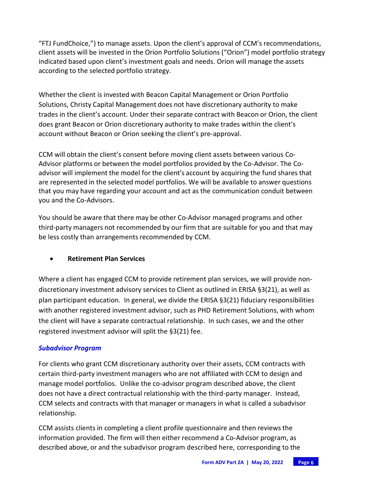"FTJ FundChoice,") to manage assets. Upon the client's approval of CCM's recommendations, client assets will be invested in the Orion Portfolio Solutions ("Orion") model portfolio strategy indicated based upon client's investment goals and needs. Orion will manage the assets according to the selected portfolio strategy.

Whether the client is invested with Beacon Capital Management or Orion Portfolio Solutions, Christy Capital Management does not have discretionary authority to make trades in the client's account. Under their separate contract with Beacon or Orion, the client does grant Beacon or Orion discretionary authority to make trades within the client's account without Beacon or Orion seeking the client's pre-approval.

CCM will obtain the client's consent before moving client assets between various Co-Advisor platforms or between the model portfolios provided by the Co-Advisor. The Coadvisor will implement the model for the client's account by acquiring the fund shares that are represented in the selected model portfolios. We will be available to answer questions that you may have regarding your account and act as the communication conduit between you and the Co-Advisors.

You should be aware that there may be other Co-Advisor managed programs and other third-party managers not recommended by our firm that are suitable for you and that may be less costly than arrangements recommended by CCM.

## • **Retirement Plan Services**

Where a client has engaged CCM to provide retirement plan services, we will provide nondiscretionary investment advisory services to Client as outlined in ERISA §3(21), as well as plan participant education. In general, we divide the ERISA §3(21) fiduciary responsibilities with another registered investment advisor, such as PHD Retirement Solutions, with whom the client will have a separate contractual relationship. In such cases, we and the other registered investment advisor will split the §3(21) fee.

## *Subadvisor Program*

For clients who grant CCM discretionary authority over their assets, CCM contracts with certain third-party investment managers who are not affiliated with CCM to design and manage model portfolios. Unlike the co-advisor program described above, the client does not have a direct contractual relationship with the third-party manager. Instead, CCM selects and contracts with that manager or managers in what is called a subadvisor relationship.

CCM assists clients in completing a client profile questionnaire and then reviews the information provided. The firm will then either recommend a Co-Advisor program, as described above, or and the subadvisor program described here, corresponding to the

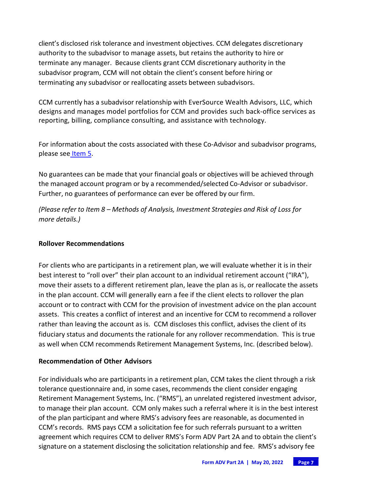client's disclosed risk tolerance and investment objectives. CCM delegates discretionary authority to the subadvisor to manage assets, but retains the authority to hire or terminate any manager. Because clients grant CCM discretionary authority in the subadvisor program, CCM will not obtain the client's consent before hiring or terminating any subadvisor or reallocating assets between subadvisors.

CCM currently has a subadvisor relationship with EverSource Wealth Advisors, LLC, which designs and manages model portfolios for CCM and provides such back-office services as reporting, billing, compliance consulting, and assistance with technology.

For information about the costs associated with these Co-Advisor and subadvisor programs, please see Item 5.

No guarantees can be made that your financial goals or objectives will be achieved through the managed account program or by a recommended/selected Co-Advisor or subadvisor. Further, no guarantees of performance can ever be offered by our firm.

*(Please refer to Item 8 – Methods of Analysis, Investment Strategies and Risk of Loss for more details.)*

## **Rollover Recommendations**

For clients who are participants in a retirement plan, we will evaluate whether it is in their best interest to "roll over" their plan account to an individual retirement account ("IRA"), move their assets to a different retirement plan, leave the plan as is, or reallocate the assets in the plan account. CCM will generally earn a fee if the client elects to rollover the plan account or to contract with CCM for the provision of investment advice on the plan account assets. This creates a conflict of interest and an incentive for CCM to recommend a rollover rather than leaving the account as is. CCM discloses this conflict, advises the client of its fiduciary status and documents the rationale for any rollover recommendation. This is true as well when CCM recommends Retirement Management Systems, Inc. (described below).

#### **Recommendation of Other Advisors**

For individuals who are participants in a retirement plan, CCM takes the client through a risk tolerance questionnaire and, in some cases, recommends the client consider engaging Retirement Management Systems, Inc. ("RMS"), an unrelated registered investment advisor, to manage their plan account. CCM only makes such a referral where it is in the best interest of the plan participant and where RMS's advisory fees are reasonable, as documented in CCM's records. RMS pays CCM a solicitation fee for such referrals pursuant to a written agreement which requires CCM to deliver RMS's Form ADV Part 2A and to obtain the client's signature on a statement disclosing the solicitation relationship and fee. RMS's advisory fee

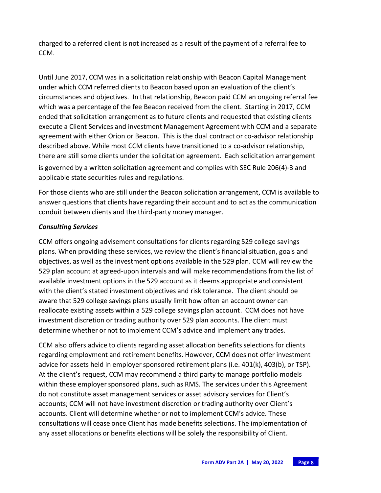charged to a referred client is not increased as a result of the payment of a referral fee to CCM.

Until June 2017, CCM was in a solicitation relationship with Beacon Capital Management under which CCM referred clients to Beacon based upon an evaluation of the client's circumstances and objectives. In that relationship, Beacon paid CCM an ongoing referral fee which was a percentage of the fee Beacon received from the client. Starting in 2017, CCM ended that solicitation arrangement as to future clients and requested that existing clients execute a Client Services and investment Management Agreement with CCM and a separate agreement with either Orion or Beacon. This is the dual contract or co-advisor relationship described above. While most CCM clients have transitioned to a co-advisor relationship, there are still some clients under the solicitation agreement. Each solicitation arrangement is governed by a written solicitation agreement and complies with SEC Rule 206(4)-3 and applicable state securities rules and regulations.

For those clients who are still under the Beacon solicitation arrangement, CCM is available to answer questions that clients have regarding their account and to act as the communication conduit between clients and the third-party money manager.

## *Consulting Services*

CCM offers ongoing advisement consultations for clients regarding 529 college savings plans. When providing these services, we review the client's financial situation, goals and objectives, as well as the investment options available in the 529 plan. CCM will review the 529 plan account at agreed-upon intervals and will make recommendations from the list of available investment options in the 529 account as it deems appropriate and consistent with the client's stated investment objectives and risk tolerance. The client should be aware that 529 college savings plans usually limit how often an account owner can reallocate existing assets within a 529 college savings plan account. CCM does not have investment discretion or trading authority over 529 plan accounts. The client must determine whether or not to implement CCM's advice and implement any trades.

CCM also offers advice to clients regarding asset allocation benefits selectionsfor clients regarding employment and retirement benefits. However, CCM does not offer investment advice for assets held in employer sponsored retirement plans (i.e.  $401(k)$ ,  $403(b)$ , or TSP). At the client's request, CCM may recommend a third party to manage portfolio models within these employer sponsored plans, such as RMS. The services under this Agreement do not constitute asset management services or asset advisory services for Client's accounts; CCM will not have investment discretion or trading authority over Client's accounts. Client will determine whether or not to implement CCM's advice. These consultations will cease once Client has made benefits selections. The implementation of any asset allocations or benefits elections will be solely the responsibility of Client.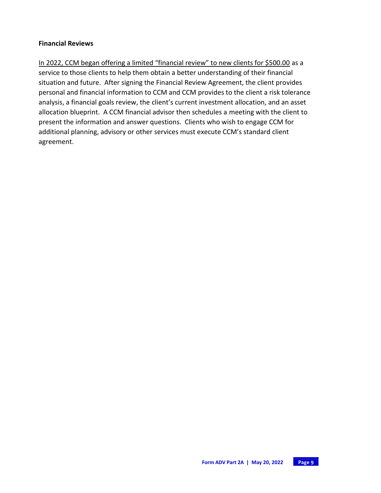#### **Financial Reviews**

In 2022, CCM began offering a limited "financial review" to new clients for \$500.00 as a service to those clients to help them obtain a better understanding of their financial situation and future. After signing the Financial Review Agreement, the client provides personal and financial information to CCM and CCM provides to the client a risk tolerance analysis, a financial goals review, the client's current investment allocation, and an asset allocation blueprint. A CCM financial advisor then schedules a meeting with the client to present the information and answer questions. Clients who wish to engage CCM for additional planning, advisory or other services must execute CCM's standard client agreement.

$$
\begin{array}{c}\n\text{Page 9}\n\end{array}
$$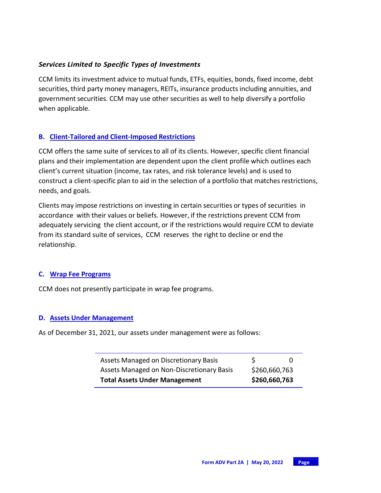## *Services Limited to Specific Types of Investments*

CCM limits its investment advice to mutual funds, ETFs, equities, bonds, fixed income, debt securities, third party money managers, REITs, insurance products including annuities, and government securities. CCM may use other securities as well to help diversify a portfolio when applicable.

## **B. Client-Tailored and Client-Imposed Restrictions**

CCM offers the same suite of services to all of its clients. However, specific client financial plans and their implementation are dependent upon the client profile which outlines each client's current situation (income, tax rates, and risk tolerance levels) and is used to construct a client-specific plan to aid in the selection of a portfolio that matches restrictions, needs, and goals.

Clients may impose restrictions on investing in certain securities or types of securities in accordance with their values or beliefs. However, if the restrictions prevent CCM from adequately servicing the client account, or if the restrictions would require CCM to deviate from its standard suite of services, CCM reserves the right to decline or end the relationship.

#### **C. Wrap Fee Programs**

CCM does not presently participate in wrap fee programs.

#### **D. Assets Under Management**

As of December 31, 2021, our assets under management were as follows:

| Assets Managed on Discretionary Basis     | S             | 0 |
|-------------------------------------------|---------------|---|
| Assets Managed on Non-Discretionary Basis | \$260,660,763 |   |
| <b>Total Assets Under Management</b>      | \$260,660,763 |   |

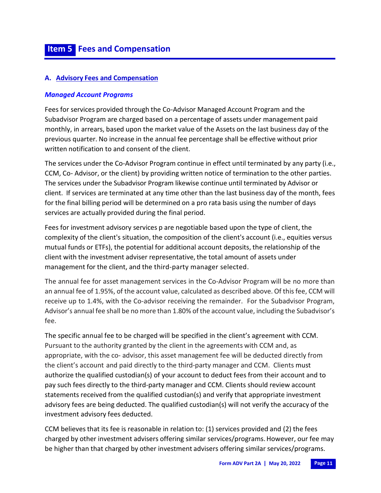## **A. Advisory Fees and Compensation**

#### *Managed Account Programs*

Fees for services provided through the Co-Advisor Managed Account Program and the Subadvisor Program are charged based on a percentage of assets under management paid monthly, in arrears, based upon the market value of the Assets on the last business day of the previous quarter. No increase in the annual fee percentage shall be effective without prior written notification to and consent of the client.

The services under the Co-Advisor Program continue in effect until terminated by any party (i.e., CCM, Co- Advisor, or the client) by providing written notice of termination to the other parties. The services under the Subadvisor Program likewise continue until terminated by Advisor or client. If services are terminated at any time other than the last business day of the month, fees for the final billing period will be determined on a pro rata basis using the number of days services are actually provided during the final period.

Fees for investment advisory services p are negotiable based upon the type of client, the complexity of the client's situation, the composition of the client's account (i.e., equities versus mutual funds or ETFs), the potential for additional account deposits, the relationship of the client with the investment adviser representative, the total amount of assets under management for the client, and the third-party manager selected.

The annual fee for asset management services in the Co-Advisor Program will be no more than an annual fee of 1.95%, of the account value, calculated as described above. Of thisfee, CCM will receive up to 1.4%, with the Co-advisor receiving the remainder. For the Subadvisor Program, Advisor's annual fee shall be no more than 1.80% of the account value, including the Subadvisor's fee.

The specific annual fee to be charged will be specified in the client's agreement with CCM. Pursuant to the authority granted by the client in the agreements with CCM and, as appropriate, with the co- advisor, this asset management fee will be deducted directly from the client's account and paid directly to the third-party manager and CCM. Clients must authorize the qualified custodian(s) of your account to deduct fees from their account and to pay such fees directly to the third-party manager and CCM. Clients should review account statements received from the qualified custodian(s) and verify that appropriate investment advisory fees are being deducted. The qualified custodian(s) will not verify the accuracy of the investment advisory fees deducted.

CCM believesthat its fee is reasonable in relation to: (1) services provided and (2) the fees charged by other investment advisers offering similar services/programs.However, our fee may be higher than that charged by other investment advisers offering similar services/programs.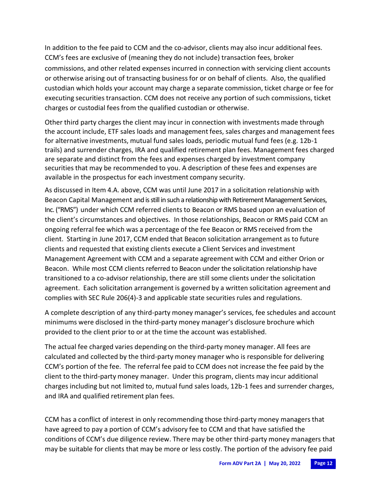In addition to the fee paid to CCM and the co-advisor, clients may also incur additional fees. CCM's fees are exclusive of (meaning they do not include) transaction fees, broker commissions, and other related expenses incurred in connection with servicing client accounts or otherwise arising out of transacting business for or on behalf of clients. Also, the qualified custodian which holds your account may charge a separate commission, ticket charge or fee for executing securities transaction. CCM does not receive any portion of such commissions, ticket charges or custodial fees from the qualified custodian or otherwise.

Other third party charges the client may incur in connection with investments made through the account include, ETF sales loads and management fees, sales charges and management fees for alternative investments, mutual fund sales loads, periodic mutual fund fees (e.g. 12b-1 trails) and surrender charges, IRA and qualified retirement plan fees. Management fees charged are separate and distinct from the fees and expenses charged by investment company securities that may be recommended to you. A description of these fees and expenses are available in the prospectus for each investment company security.

As discussed in Item 4.A. above, CCM was until June 2017 in a solicitation relationship with Beacon Capital Management and is still in such a relationship with Retirement Management Services, Inc. ("RMS") under which CCM referred clients to Beacon or RMS based upon an evaluation of the client's circumstances and objectives. In those relationships, Beacon or RMS paid CCM an ongoing referral fee which was a percentage of the fee Beacon or RMS received from the client. Starting in June 2017, CCM ended that Beacon solicitation arrangement as to future clients and requested that existing clients execute a Client Services and investment Management Agreement with CCM and a separate agreement with CCM and either Orion or Beacon. While most CCM clients referred to Beacon under the solicitation relationship have transitioned to a co-advisor relationship, there are still some clients under the solicitation agreement. Each solicitation arrangement is governed by a written solicitation agreement and complies with SEC Rule 206(4)-3 and applicable state securities rules and regulations.

A complete description of any third-party money manager's services, fee schedules and account minimums were disclosed in the third-party money manager's disclosure brochure which provided to the client prior to or at the time the account was established.

The actual fee charged varies depending on the third-party money manager. All fees are calculated and collected by the third-party money manager who is responsible for delivering CCM's portion of the fee. The referral fee paid to CCM does not increase the fee paid by the client to the third-party money manager. Under this program, clients may incur additional charges including but not limited to, mutual fund sales loads, 12b-1 fees and surrender charges, and IRA and qualified retirement plan fees.

CCM has a conflict of interest in only recommending those third-party money managers that have agreed to pay a portion of CCM's advisory fee to CCM and that have satisfied the conditions of CCM's due diligence review. There may be other third-party money managers that may be suitable for clients that may be more or less costly. The portion of the advisory fee paid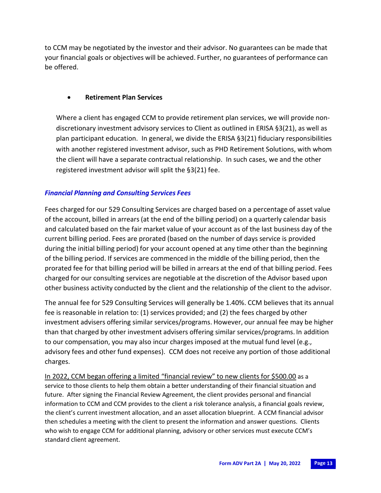to CCM may be negotiated by the investor and their advisor. No guarantees can be made that your financial goals or objectives will be achieved. Further, no guarantees of performance can be offered.

## • **Retirement Plan Services**

Where a client has engaged CCM to provide retirement plan services, we will provide nondiscretionary investment advisory services to Client as outlined in ERISA §3(21), as well as plan participant education. In general, we divide the ERISA §3(21) fiduciary responsibilities with another registered investment advisor, such as PHD Retirement Solutions, with whom the client will have a separate contractual relationship. In such cases, we and the other registered investment advisor will split the §3(21) fee.

## *Financial Planning and Consulting Services Fees*

Fees charged for our 529 Consulting Services are charged based on a percentage of asset value of the account, billed in arrears (at the end of the billing period) on a quarterly calendar basis and calculated based on the fair market value of your account as of the last business day of the current billing period. Fees are prorated (based on the number of days service is provided during the initial billing period) for your account opened at any time other than the beginning of the billing period. If services are commenced in the middle of the billing period, then the prorated fee for that billing period will be billed in arrears at the end of that billing period. Fees charged for our consulting services are negotiable at the discretion of the Advisor based upon other business activity conducted by the client and the relationship of the client to the advisor.

The annual fee for 529 Consulting Services will generally be 1.40%. CCM believes that its annual fee is reasonable in relation to: (1) services provided; and (2) the fees charged by other investment advisers offering similar services/programs. However, our annual fee may be higher than that charged by other investment advisers offering similar services/programs. In addition to our compensation, you may also incur chargesimposed at the mutual fund level (e.g., advisory fees and other fund expenses). CCM does not receive any portion of those additional charges.

In 2022, CCM began offering a limited "financial review" to new clients for \$500.00 as a service to those clients to help them obtain a better understanding of their financial situation and future. After signing the Financial Review Agreement, the client provides personal and financial information to CCM and CCM provides to the client a risk tolerance analysis, a financial goals review, the client's current investment allocation, and an asset allocation blueprint. A CCM financial advisor then schedules a meeting with the client to present the information and answer questions. Clients who wish to engage CCM for additional planning, advisory or other services must execute CCM's standard client agreement.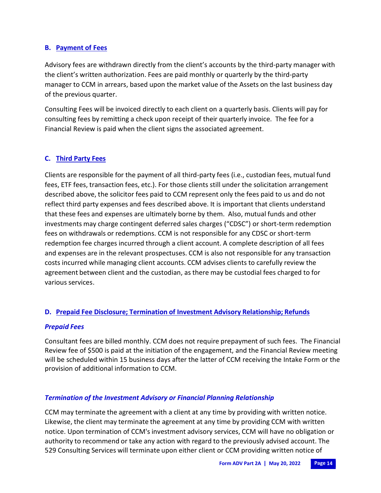## **B. Payment of Fees**

Advisory fees are withdrawn directly from the client's accounts by the third-party manager with the client's written authorization. Fees are paid monthly or quarterly by the third-party manager to CCM in arrears, based upon the market value of the Assets on the last business day of the previous quarter.

Consulting Fees will be invoiced directly to each client on a quarterly basis. Clients will pay for consulting fees by remitting a check upon receipt of their quarterly invoice. The fee for a Financial Review is paid when the client signs the associated agreement.

## **C. Third Party Fees**

Clients are responsible for the payment of all third-party fees (i.e., custodian fees, mutual fund fees, ETF fees, transaction fees, etc.). For those clients still under the solicitation arrangement described above, the solicitor fees paid to CCM represent only the fees paid to us and do not reflect third party expenses and fees described above. It is important that clients understand that these fees and expenses are ultimately borne by them. Also, mutual funds and other investments may charge contingent deferred sales charges ("CDSC") or short-term redemption fees on withdrawals or redemptions. CCM is not responsible for any CDSC or short-term redemption fee charges incurred through a client account. A complete description of all fees and expenses are in the relevant prospectuses. CCM is also not responsible for any transaction costs incurred while managing client accounts. CCM advises clients to carefully review the agreement between client and the custodian, as there may be custodial fees charged to for various services.

## **D. Prepaid Fee Disclosure; Termination of Investment Advisory Relationship; Refunds**

## *Prepaid Fees*

Consultant fees are billed monthly. CCM does not require prepayment of such fees. The Financial Review fee of \$500 is paid at the initiation of the engagement, and the Financial Review meeting will be scheduled within 15 business days after the latter of CCM receiving the Intake Form or the provision of additional information to CCM.

## *Termination of the Investment Advisory or Financial Planning Relationship*

CCM may terminate the agreement with a client at any time by providing with written notice. Likewise, the client may terminate the agreement at any time by providing CCM with written notice. Upon termination of CCM's investment advisory services, CCM will have no obligation or authority to recommend or take any action with regard to the previously advised account. The 529 Consulting Services will terminate upon either client or CCM providing written notice of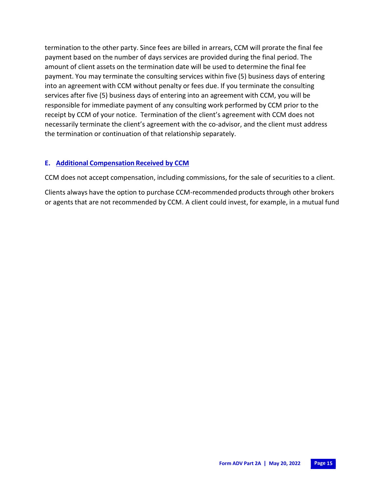termination to the other party. Since fees are billed in arrears, CCM will prorate the final fee payment based on the number of days services are provided during the final period. The amount of client assets on the termination date will be used to determine the final fee payment. You may terminate the consulting services within five (5) business days of entering into an agreement with CCM without penalty or fees due. If you terminate the consulting services after five (5) business days of entering into an agreement with CCM, you will be responsible for immediate payment of any consulting work performed by CCM prior to the receipt by CCM of your notice. Termination of the client's agreement with CCM does not necessarily terminate the client's agreement with the co-advisor, and the client must address the termination or continuation of that relationship separately.

#### **E. Additional Compensation Received by CCM**

CCM does not accept compensation, including commissions, for the sale of securitiesto a client.

Clients always have the option to purchase CCM-recommended products through other brokers or agents that are not recommended by CCM. A client could invest, for example, in a mutual fund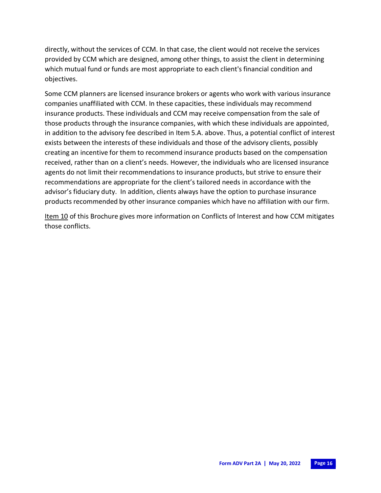directly, without the services of CCM. In that case, the client would not receive the services provided by CCM which are designed, among other things, to assist the client in determining which mutual fund or funds are most appropriate to each client's financial condition and objectives.

Some CCM planners are licensed insurance brokers or agents who work with various insurance companies unaffiliated with CCM. In these capacities, these individuals may recommend insurance products. These individuals and CCM may receive compensation from the sale of those products through the insurance companies, with which these individuals are appointed, in addition to the advisory fee described in Item 5.A. above. Thus, a potential conflict of interest exists between the interests of these individuals and those of the advisory clients, possibly creating an incentive for them to recommend insurance products based on the compensation received, rather than on a client's needs. However, the individuals who are licensed insurance agents do not limit their recommendations to insurance products, but strive to ensure their recommendations are appropriate for the client's tailored needs in accordance with the advisor's fiduciary duty. In addition, clients always have the option to purchase insurance products recommended by other insurance companies which have no affiliation with our firm.

Item 10 of this Brochure gives more information on Conflicts of Interest and how CCM mitigates those conflicts.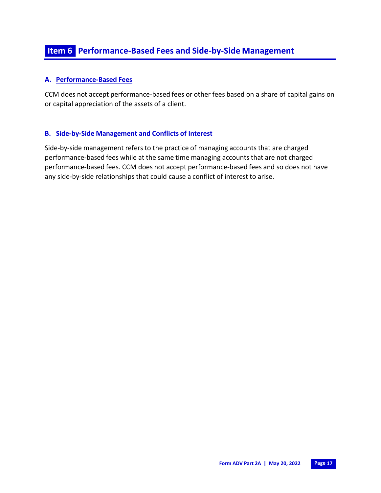## **A. Performance-Based Fees**

CCM does not accept performance-based fees or other fees based on a share of capital gains on or capital appreciation of the assets of a client.

## **B. Side-by-Side Management and Conflicts of Interest**

Side-by-side management refers to the practice of managing accounts that are charged performance-based fees while at the same time managing accounts that are not charged performance-based fees. CCM does not accept performance-based fees and so does not have any side-by-side relationships that could cause a conflict of interest to arise.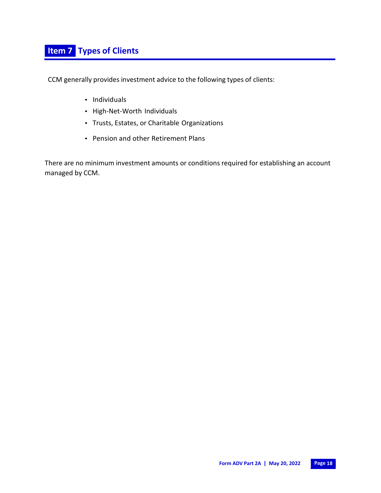CCM generally provides investment advice to the following types of clients:

- Individuals
- High-Net-Worth Individuals
- Trusts, Estates, or Charitable Organizations
- Pension and other Retirement Plans

There are no minimum investment amounts or conditions required for establishing an account managed by CCM.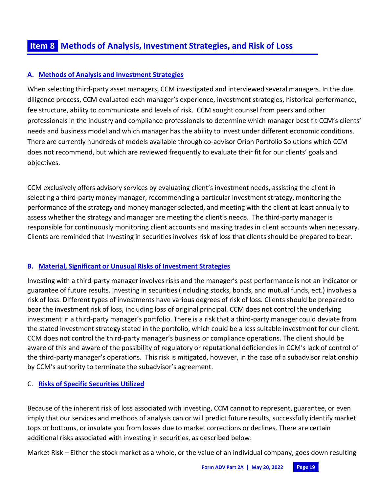## **A. Methods of Analysis and Investment Strategies**

When selecting third-party asset managers, CCM investigated and interviewed several managers. In the due diligence process, CCM evaluated each manager's experience, investment strategies, historical performance, fee structure, ability to communicate and levels of risk. CCM sought counsel from peers and other professionals in the industry and compliance professionals to determine which manager best fit CCM's clients' needs and business model and which manager has the ability to invest under different economic conditions. There are currently hundreds of models available through co-advisor Orion Portfolio Solutions which CCM does not recommend, but which are reviewed frequently to evaluate their fit for our clients' goals and objectives.

CCM exclusively offers advisory services by evaluating client's investment needs, assisting the client in selecting a third-party money manager, recommending a particular investment strategy, monitoring the performance of the strategy and money managerselected, and meeting with the client at least annually to assess whether the strategy and manager are meeting the client's needs. The third-party manager is responsible for continuously monitoring client accounts and making trades in client accounts when necessary. Clients are reminded that Investing in securities involves risk of loss that clients should be prepared to bear.

## **B. Material, Significant or Unusual Risks of Investment Strategies**

Investing with a third-party manager involves risks and the manager's past performance is not an indicator or guarantee of future results. Investing in securities(including stocks, bonds, and mutual funds, ect.) involves a risk of loss. Different types of investments have various degrees of risk of loss. Clients should be prepared to bear the investment risk of loss, including loss of original principal. CCM does not control the underlying investment in a third-party manager's portfolio. There is a risk that a third-party manager could deviate from the stated investment strategy stated in the portfolio, which could be a less suitable investment for our client. CCM does not control the third-party manager's business or compliance operations. The client should be aware of this and aware of the possibility of regulatory or reputational deficiencies in CCM's lack of control of the third-party manager's operations. This risk is mitigated, however, in the case of a subadvisor relationship by CCM's authority to terminate the subadvisor's agreement.

## C. **Risks of Specific Securities Utilized**

Because of the inherent risk of loss associated with investing, CCM cannot to represent, guarantee, or even imply that our services and methods of analysis can or will predict future results, successfully identify market tops or bottoms, or insulate you from losses due to market corrections or declines. There are certain additional risks associated with investing in securities, as described below:

Market Risk – Either the stock market as a whole, or the value of an individual company, goes down resulting

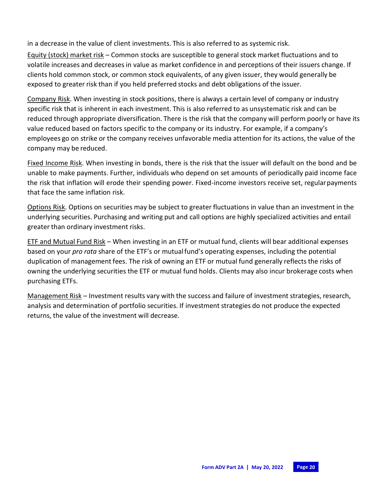in a decrease in the value of client investments. This is also referred to as systemic risk.

Equity (stock) market risk – Common stocks are susceptible to general stock market fluctuations and to volatile increases and decreases in value as market confidence in and perceptions of their issuers change. If clients hold common stock, or common stock equivalents, of any given issuer, they would generally be exposed to greater risk than if you held preferred stocks and debt obligations of the issuer.

Company Risk. When investing in stock positions, there is always a certain level of company or industry specific risk that is inherent in each investment. This is also referred to as unsystematic risk and can be reduced through appropriate diversification. There is the risk that the company will perform poorly or have its value reduced based on factors specific to the company or its industry. For example, if a company's employees go on strike or the company receives unfavorable media attention for its actions, the value of the company may be reduced.

Fixed Income Risk. When investing in bonds, there is the risk that the issuer will default on the bond and be unable to make payments. Further, individuals who depend on set amounts of periodically paid income face the risk that inflation will erode their spending power. Fixed-income investors receive set, regular payments that face the same inflation risk.

Options Risk. Options on securities may be subject to greater fluctuations in value than an investment in the underlying securities. Purchasing and writing put and call options are highly specialized activities and entail greater than ordinary investment risks.

ETF and Mutual Fund Risk – When investing in an ETF or mutual fund, clients will bear additional expenses based on your *pro rata* share of the ETF's or mutualfund's operating expenses, including the potential duplication of management fees. The risk of owning an ETF or mutual fund generally reflects the risks of owning the underlying securities the ETF or mutual fund holds. Clients may also incur brokerage costs when purchasing ETFs.

Management Risk – Investment results vary with the success and failure of investment strategies, research, analysis and determination of portfolio securities. If investment strategies do not produce the expected returns, the value of the investment will decrease.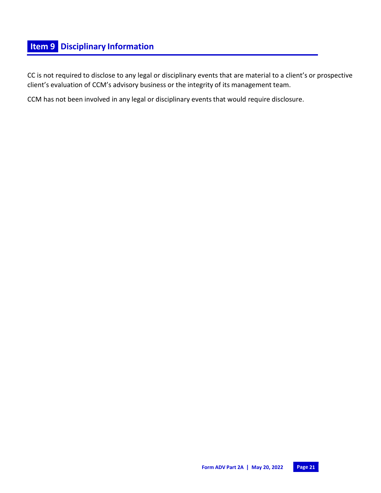# **Item 9 Disciplinary Information**

CC is not required to disclose to any legal or disciplinary events that are material to a client's or prospective client's evaluation of CCM's advisory business or the integrity of its management team.

CCM has not been involved in any legal or disciplinary events that would require disclosure.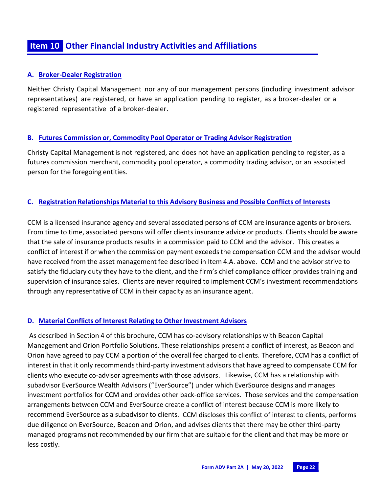## **A. Broker-Dealer Registration**

Neither Christy Capital Management nor any of our management persons (including investment advisor representatives) are registered, or have an application pending to register, as a broker-dealer or a registered representative of a broker-dealer.

## **B. Futures Commission or, Commodity Pool Operator or Trading Advisor Registration**

Christy Capital Management is not registered, and does not have an application pending to register, as a futures commission merchant, commodity pool operator, a commodity trading advisor, or an associated person for the foregoing entities.

## **C. Registration Relationships Material to this Advisory Business and Possible Conflicts of Interests**

CCM is a licensed insurance agency and several associated persons of CCM are insurance agents or brokers. From time to time, associated persons will offer clients insurance advice or products. Clients should be aware that the sale of insurance products results in a commission paid to CCM and the advisor. This creates a conflict of interest if or when the commission payment exceeds the compensation CCM and the advisor would have received from the asset management fee described in Item 4.A. above. CCM and the advisor strive to satisfy the fiduciary duty they have to the client, and the firm's chief compliance officer provides training and supervision of insurance sales. Clients are never required to implement CCM's investment recommendations through any representative of CCM in their capacity as an insurance agent.

## **D. Material Conflicts of Interest Relating to Other Investment Advisors**

As described in Section 4 of this brochure, CCM has co-advisory relationships with Beacon Capital Management and Orion Portfolio Solutions. These relationships present a conflict of interest, as Beacon and Orion have agreed to pay CCM a portion of the overall fee charged to clients. Therefore, CCM has a conflict of interest in that it only recommends third-party investment advisors that have agreed to compensate CCM for clients who execute co-advisor agreements with those advisors. Likewise, CCM has a relationship with subadvisor EverSource Wealth Advisors ("EverSource") under which EverSource designs and manages investment portfolios for CCM and provides other back-office services. Those services and the compensation arrangements between CCM and EverSource create a conflict of interest because CCM is more likely to recommend EverSource as a subadvisor to clients. CCM discloses this conflict of interest to clients, performs due diligence on EverSource, Beacon and Orion, and advises clients that there may be other third-party managed programs not recommended by our firm that are suitable for the client and that may be more or less costly.

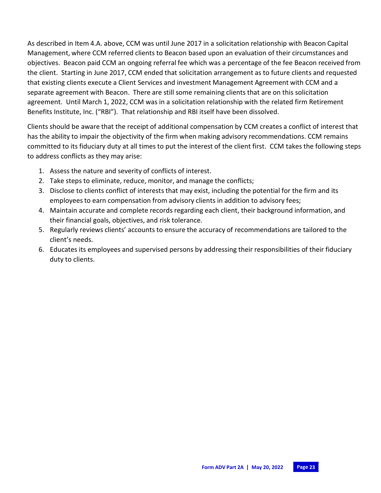As described in Item 4.A. above, CCM was until June 2017 in a solicitation relationship with Beacon Capital Management, where CCM referred clients to Beacon based upon an evaluation of their circumstances and objectives. Beacon paid CCM an ongoing referral fee which was a percentage of the fee Beacon received from the client. Starting in June 2017, CCM ended that solicitation arrangement as to future clients and requested that existing clients execute a Client Services and investment Management Agreement with CCM and a separate agreement with Beacon. There are still some remaining clients that are on this solicitation agreement. Until March 1, 2022, CCM was in a solicitation relationship with the related firm Retirement Benefits Institute, Inc. ("RBI"). That relationship and RBI itself have been dissolved.

Clients should be aware that the receipt of additional compensation by CCM creates a conflict of interest that has the ability to impair the objectivity of the firm when making advisory recommendations. CCM remains committed to its fiduciary duty at all times to put the interest of the client first. CCM takes the following steps to address conflicts as they may arise:

- 1. Assess the nature and severity of conflicts of interest.
- 2. Take steps to eliminate, reduce, monitor, and manage the conflicts;
- 3. Disclose to clients conflict of interests that may exist, including the potential for the firm and its employees to earn compensation from advisory clients in addition to advisory fees;
- 4. Maintain accurate and complete records regarding each client, their background information, and their financial goals, objectives, and risk tolerance.
- 5. Regularly reviews clients' accounts to ensure the accuracy of recommendations are tailored to the client's needs.
- 6. Educates its employees and supervised persons by addressing their responsibilities of their fiduciary duty to clients.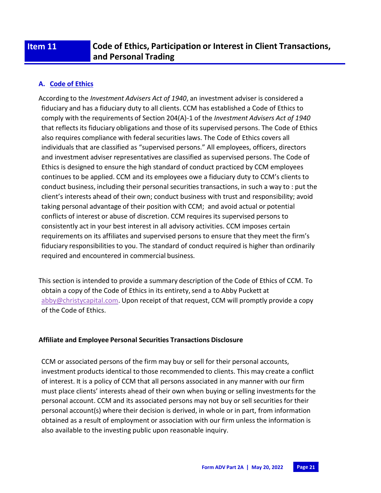# **Item 11 Code of Ethics, Participation or Interest in Client Transactions, and Personal Trading**

## **A. Code of Ethics**

According to the *Investment Advisers Act of 1940*, an investment adviser is considered a fiduciary and has a fiduciary duty to all clients. CCM has established a Code of Ethics to comply with the requirements of Section 204(A)-1 of the *Investment Advisers Act of 1940*  that reflectsits fiduciary obligations and those of its supervised persons. The Code of Ethics also requires compliance with federal securities laws. The Code of Ethics covers all individuals that are classified as "supervised persons." All employees, officers, directors and investment adviser representatives are classified as supervised persons. The Code of Ethics is designed to ensure the high standard of conduct practiced by CCM employees continues to be applied. CCM and its employees owe a fiduciary duty to CCM's clients to conduct business, including their personal securities transactions, in such a way to : put the client's interests ahead of their own; conduct business with trust and responsibility; avoid taking personal advantage of their position with CCM; and avoid actual or potential conflicts of interest or abuse of discretion. CCM requires its supervised persons to consistently act in your best interest in all advisory activities. CCM imposes certain requirements on its affiliates and supervised persons to ensure that they meet the firm's fiduciary responsibilities to you. The standard of conduct required is higher than ordinarily required and encountered in commercial business.

This section is intended to provide a summary description of the Code of Ethics of CCM. To obtain a copy of the Code of Ethics in its entirety, send a to Abby Puckett at [abby@christycapital.com.](mailto:abby@christycapital.com) Upon receipt of that request, CCM will promptly provide a copy of the Code of Ethics.

#### **Affiliate and Employee Personal Securities Transactions Disclosure**

CCM or associated persons of the firm may buy or sell for their personal accounts, investment products identical to those recommended to clients. This may create a conflict of interest. It is a policy of CCM that all persons associated in any manner with our firm must place clients' interests ahead of their own when buying or selling investmentsfor the personal account. CCM and its associated persons may not buy or sell securities for their personal account(s) where their decision is derived, in whole or in part, from information obtained as a result of employment or association with our firm unless the information is also available to the investing public upon reasonable inquiry.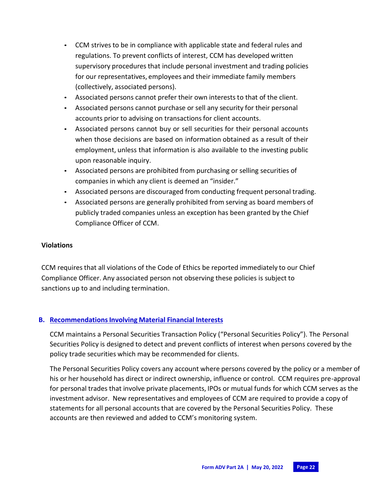- CCM strives to be in compliance with applicable state and federal rules and regulations. To prevent conflicts of interest, CCM has developed written supervisory procedures that include personal investment and trading policies for our representatives, employees and their immediate family members (collectively, associated persons).
- Associated persons cannot prefer their own interests to that of the client.
- Associated persons cannot purchase or sell any security for their personal accounts prior to advising on transactions for client accounts.
- Associated persons cannot buy or sell securities for their personal accounts when those decisions are based on information obtained as a result of their employment, unless that information is also available to the investing public upon reasonable inquiry.
- Associated persons are prohibited from purchasing or selling securities of companies in which any client is deemed an "insider."
- Associated persons are discouraged from conducting frequent personal trading.
- Associated persons are generally prohibited from serving as board members of publicly traded companies unless an exception has been granted by the Chief Compliance Officer of CCM.

## **Violations**

CCM requires that all violations of the Code of Ethics be reported immediately to our Chief Compliance Officer. Any associated person not observing these policies is subject to sanctions up to and including termination.

## **B. Recommendations Involving Material Financial Interests**

CCM maintains a Personal Securities Transaction Policy ("Personal Securities Policy"). The Personal Securities Policy is designed to detect and prevent conflicts of interest when persons covered by the policy trade securities which may be recommended for clients.

The Personal Securities Policy covers any account where persons covered by the policy or a member of his or her household has direct or indirect ownership, influence or control. CCM requires pre-approval for personal trades that involve private placements, IPOs or mutual funds for which CCM serves as the investment advisor. New representatives and employees of CCM are required to provide a copy of statements for all personal accounts that are covered by the Personal Securities Policy. These accounts are then reviewed and added to CCM's monitoring system.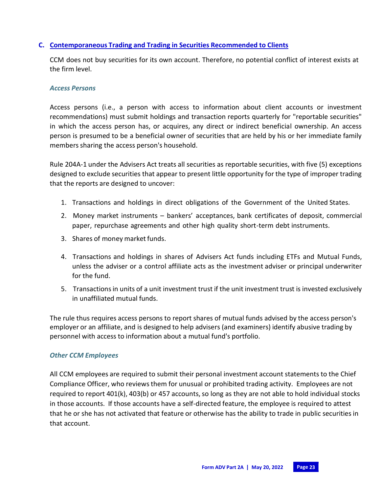#### **C. Contemporaneous Trading and Trading in Securities Recommended to Clients**

CCM does not buy securities for its own account. Therefore, no potential conflict of interest exists at the firm level.

#### *Access Persons*

Access persons (i.e., a person with access to information about client accounts or investment recommendations) must submit holdings and transaction reports quarterly for "reportable securities" in which the access person has, or acquires, any direct or indirect beneficial ownership. An access person is presumed to be a beneficial owner of securities that are held by his or her immediate family members sharing the access person's household.

Rule 204A-1 under the Advisers Act treats all securities as reportable securities, with five (5) exceptions designed to exclude securities that appear to present little opportunity for the type of improper trading that the reports are designed to uncover:

- 1. Transactions and holdings in direct obligations of the Government of the United States.
- 2. Money market instruments bankers' acceptances, bank certificates of deposit, commercial paper, repurchase agreements and other high quality short-term debt instruments.
- 3. Shares of money market funds.
- 4. Transactions and holdings in shares of Advisers Act funds including ETFs and Mutual Funds, unless the adviser or a control affiliate acts as the investment adviser or principal underwriter for the fund.
- 5. Transactions in units of a unit investment trust if the unit investment trust is invested exclusively in unaffiliated mutual funds.

The rule thus requires access persons to report shares of mutual funds advised by the access person's employer or an affiliate, and is designed to help advisers (and examiners) identify abusive trading by personnel with access to information about a mutual fund's portfolio.

#### *Other CCM Employees*

All CCM employees are required to submit their personal investment account statements to the Chief Compliance Officer, who reviewsthem for unusual or prohibited trading activity. Employees are not required to report 401(k), 403(b) or 457 accounts, so long as they are not able to hold individual stocks in those accounts. If those accounts have a self-directed feature, the employee is required to attest that he or she has not activated that feature or otherwise has the ability to trade in public securities in that account.

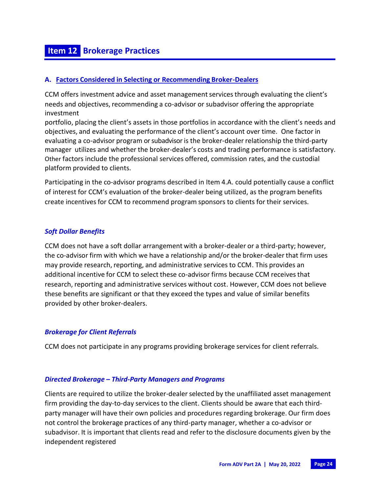# **Item 12 Brokerage Practices**

#### **A. Factors Considered in Selecting or Recommending Broker-Dealers**

CCM offers investment advice and asset management services through evaluating the client's needs and objectives, recommending a co-advisor or subadvisor offering the appropriate investment

portfolio, placing the client's assets in those portfolios in accordance with the client's needs and objectives, and evaluating the performance of the client's account over time. One factor in evaluating a co-advisor program or subadvisor is the broker-dealer relationship the third-party manager utilizes and whether the broker-dealer's costs and trading performance is satisfactory. Other factors include the professional services offered, commission rates, and the custodial platform provided to clients.

Participating in the co-advisor programs described in Item 4.A. could potentially cause a conflict of interest for CCM's evaluation of the broker-dealer being utilized, as the program benefits create incentivesfor CCM to recommend program sponsors to clients for their services.

## *Soft Dollar Benefits*

CCM does not have a soft dollar arrangement with a broker-dealer or a third-party; however, the co-advisor firm with which we have a relationship and/or the broker-dealer that firm uses may provide research, reporting, and administrative services to CCM. This provides an additional incentive for CCM to select these co-advisor firms because CCM receivesthat research, reporting and administrative services without cost. However, CCM does not believe these benefits are significant or that they exceed the types and value of similar benefits provided by other broker-dealers.

#### *Brokerage for Client Referrals*

CCM does not participate in any programs providing brokerage servicesfor client referrals.

#### *Directed Brokerage – Third-Party Managers and Programs*

Clients are required to utilize the broker-dealerselected by the unaffiliated asset management firm providing the day-to-day services to the client. Clients should be aware that each thirdparty manager will have their own policies and procedures regarding brokerage. Our firm does not control the brokerage practices of any third-party manager, whether a co-advisor or subadvisor. It is important that clients read and refer to the disclosure documents given by the independent registered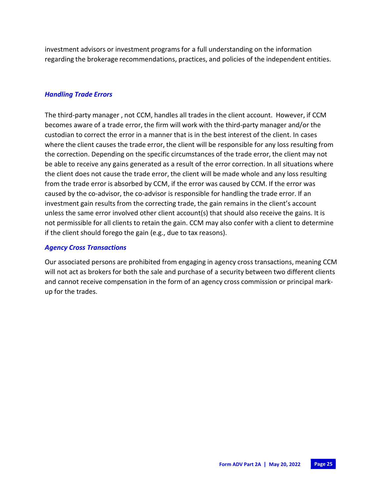investment advisors or investment programsfor a full understanding on the information regarding the brokerage recommendations, practices, and policies of the independent entities.

#### *Handling Trade Errors*

The third-party manager , not CCM, handles all trades in the client account. However, if CCM becomes aware of a trade error, the firm will work with the third-party manager and/or the custodian to correct the error in a manner that is in the best interest of the client. In cases where the client causes the trade error, the client will be responsible for any loss resulting from the correction. Depending on the specific circumstances of the trade error, the client may not be able to receive any gains generated as a result of the error correction. In all situations where the client does not cause the trade error, the client will be made whole and any loss resulting from the trade error is absorbed by CCM, if the error was caused by CCM. If the error was caused by the co-advisor, the co-advisor is responsible for handling the trade error. If an investment gain results from the correcting trade, the gain remains in the client's account unless the same error involved other client account(s) that should also receive the gains. It is not permissible for all clients to retain the gain. CCM may also confer with a client to determine if the client should forego the gain (e.g., due to tax reasons).

#### *Agency Cross Transactions*

Our associated persons are prohibited from engaging in agency cross transactions, meaning CCM will not act as brokers for both the sale and purchase of a security between two different clients and cannot receive compensation in the form of an agency cross commission or principal markup for the trades.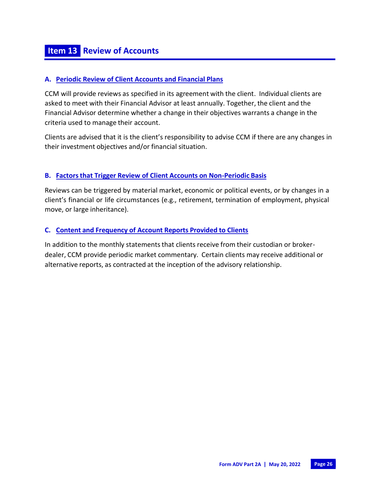#### **A. Periodic Review of Client Accounts and Financial Plans**

CCM will provide reviews as specified in its agreement with the client. Individual clients are asked to meet with their Financial Advisor at least annually. Together, the client and the Financial Advisor determine whether a change in their objectives warrants a change in the criteria used to manage their account.

Clients are advised that it is the client's responsibility to advise CCM if there are any changes in their investment objectives and/or financial situation.

## **B. Factorsthat Trigger Review of Client Accounts on Non-Periodic Basis**

Reviews can be triggered by material market, economic or political events, or by changes in a client's financial or life circumstances (e.g., retirement, termination of employment, physical move, or large inheritance).

## **C. Content and Frequency of Account Reports Provided to Clients**

In addition to the monthly statements that clients receive from their custodian or brokerdealer, CCM provide periodic market commentary. Certain clients may receive additional or alternative reports, as contracted at the inception of the advisory relationship.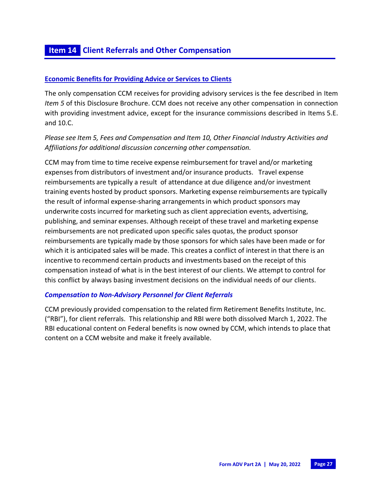## **Economic Benefits for Providing Advice or Services to Clients**

The only compensation CCM receives for providing advisory services is the fee described in Item *Item 5* of this Disclosure Brochure. CCM does not receive any other compensation in connection with providing investment advice, except for the insurance commissions described in Items 5.E. and 10.C.

## *Please see Item 5, Fees and Compensation and Item 10, Other Financial Industry Activities and Affiliations for additional discussion concerning other compensation.*

CCM may from time to time receive expense reimbursement for travel and/or marketing expenses from distributors of investment and/or insurance products. Travel expense reimbursements are typically a result of attendance at due diligence and/or investment training events hosted by product sponsors. Marketing expense reimbursements are typically the result of informal expense-sharing arrangementsin which product sponsors may underwrite costs incurred for marketing such as client appreciation events, advertising, publishing, and seminar expenses. Although receipt of these travel and marketing expense reimbursements are not predicated upon specific sales quotas, the product sponsor reimbursements are typically made by those sponsors for which sales have been made or for which it is anticipated sales will be made. This creates a conflict of interest in that there is an incentive to recommend certain products and investments based on the receipt of this compensation instead of what is in the best interest of our clients. We attempt to control for this conflict by always basing investment decisions on the individual needs of our clients.

#### *Compensation to Non-Advisory Personnel for Client Referrals*

CCM previously provided compensation to the related firm Retirement Benefits Institute, Inc. ("RBI"), for client referrals. This relationship and RBI were both dissolved March 1, 2022. The RBI educational content on Federal benefits is now owned by CCM, which intends to place that content on a CCM website and make it freely available.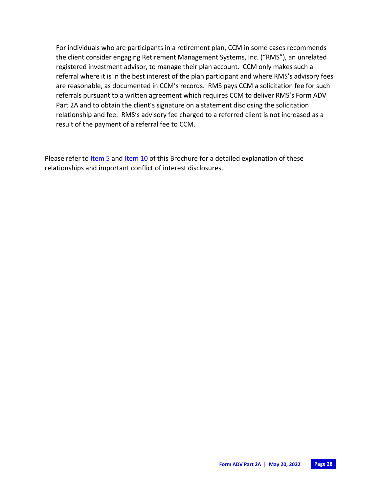For individuals who are participants in a retirement plan, CCM in some cases recommends the client consider engaging Retirement Management Systems, Inc. ("RMS"), an unrelated registered investment advisor, to manage their plan account. CCM only makes such a referral where it is in the best interest of the plan participant and where RMS's advisory fees are reasonable, as documented in CCM's records. RMS pays CCM a solicitation fee for such referrals pursuant to a written agreement which requires CCM to deliver RMS's Form ADV Part 2A and to obtain the client's signature on a statement disclosing the solicitation relationship and fee. RMS's advisory fee charged to a referred client is not increased as a result of the payment of a referral fee to CCM.

Please refer to **Item 5** and Item 10 of this Brochure for a detailed explanation of these relationships and important conflict of interest disclosures.

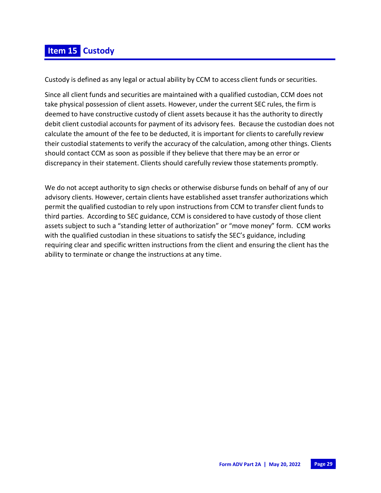# **Item 15 Custody**

Custody is defined as any legal or actual ability by CCM to access client funds or securities.

Since all client funds and securities are maintained with a qualified custodian, CCM does not take physical possession of client assets. However, under the current SEC rules, the firm is deemed to have constructive custody of client assets because it has the authority to directly debit client custodial accounts for payment of its advisory fees. Because the custodian does not calculate the amount of the fee to be deducted, it is important for clients to carefully review their custodial statements to verify the accuracy of the calculation, among other things. Clients should contact CCM as soon as possible if they believe that there may be an error or discrepancy in their statement. Clients should carefully review those statements promptly.

We do not accept authority to sign checks or otherwise disburse funds on behalf of any of our advisory clients. However, certain clients have established asset transfer authorizations which permit the qualified custodian to rely upon instructions from CCM to transfer client funds to third parties. According to SEC guidance, CCM is considered to have custody of those client assets subject to such a "standing letter of authorization" or "move money" form. CCM works with the qualified custodian in these situations to satisfy the SEC's guidance, including requiring clear and specific written instructions from the client and ensuring the client has the ability to terminate or change the instructions at any time.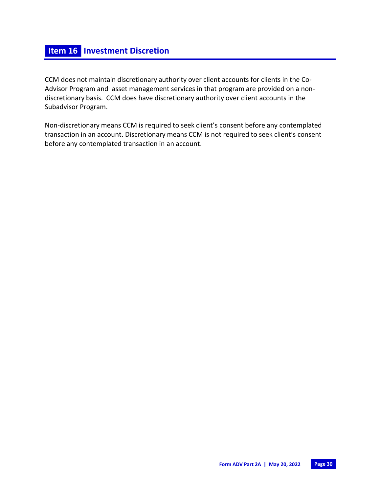CCM does not maintain discretionary authority over client accounts for clients in the Co-Advisor Program and asset management services in that program are provided on a nondiscretionary basis. CCM does have discretionary authority over client accounts in the Subadvisor Program.

Non-discretionary means CCM is required to seek client's consent before any contemplated transaction in an account. Discretionary means CCM is not required to seek client's consent before any contemplated transaction in an account.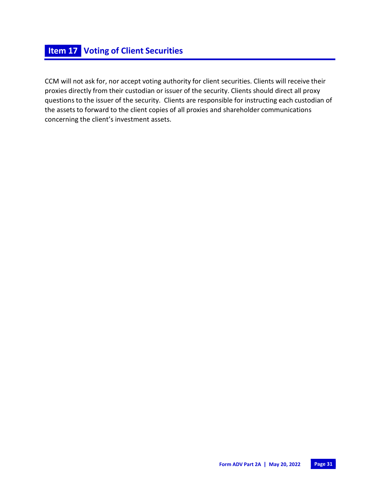CCM will not ask for, nor accept voting authority for client securities. Clients will receive their proxies directly from their custodian or issuer of the security. Clients should direct all proxy questions to the issuer of the security. Clients are responsible for instructing each custodian of the assets to forward to the client copies of all proxies and shareholder communications concerning the client's investment assets.